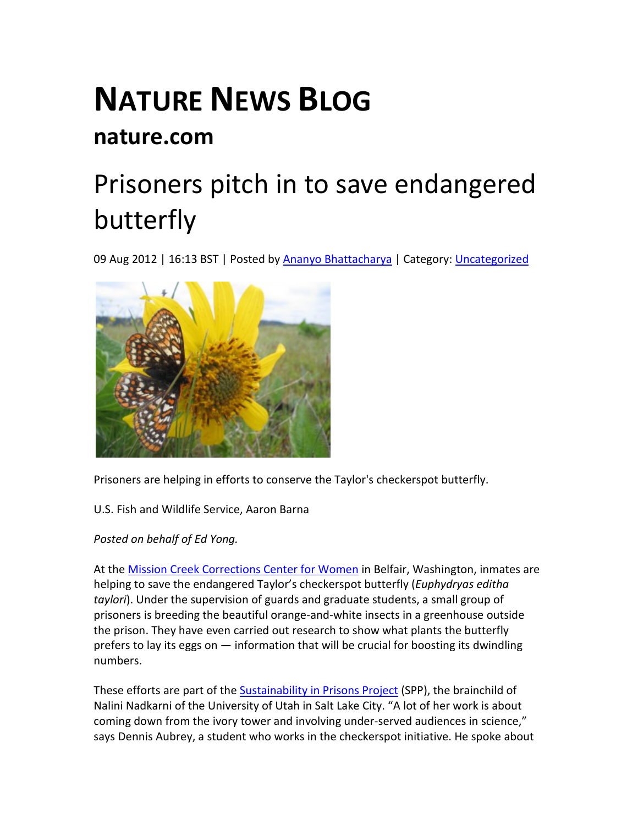## **NATURE NEWS BLOG nature.com**

## [Prisoners pitch in to save endangered](http://blogs.nature.com/news/2012/08/prisoners-pitch-in-to-save-endangered-butterfly.html)  [butterfly](http://blogs.nature.com/news/2012/08/prisoners-pitch-in-to-save-endangered-butterfly.html)

09 Aug 2012 | 16:13 BST | Posted by **Ananyo Bhattacharya | Category:** *Uncategorized* 



Prisoners are helping in efforts to conserve the Taylor's checkerspot butterfly.

U.S. Fish and Wildlife Service, Aaron Barna

*Posted on behalf of Ed Yong.*

At th[e Mission Creek Corrections Center for Women](http://www.doc.wa.gov/facilities/prison/mcccw/default.asp) in Belfair, Washington, inmates are helping to save the endangered Taylor's checkerspot butterfly (*Euphydryas editha taylori*). Under the supervision of guards and graduate students, a small group of prisoners is breeding the beautiful orange-and-white insects in a greenhouse outside the prison. They have even carried out research to show what plants the butterfly prefers to lay its eggs on — information that will be crucial for boosting its dwindling numbers.

These efforts are part of the [Sustainability in Prisons Project](http://blogs.evergreen.edu/sustainableprisons/) (SPP), the brainchild of Nalini Nadkarni of the University of Utah in Salt Lake City. "A lot of her work is about coming down from the ivory tower and involving under-served audiences in science," says Dennis Aubrey, a student who works in the checkerspot initiative. He spoke about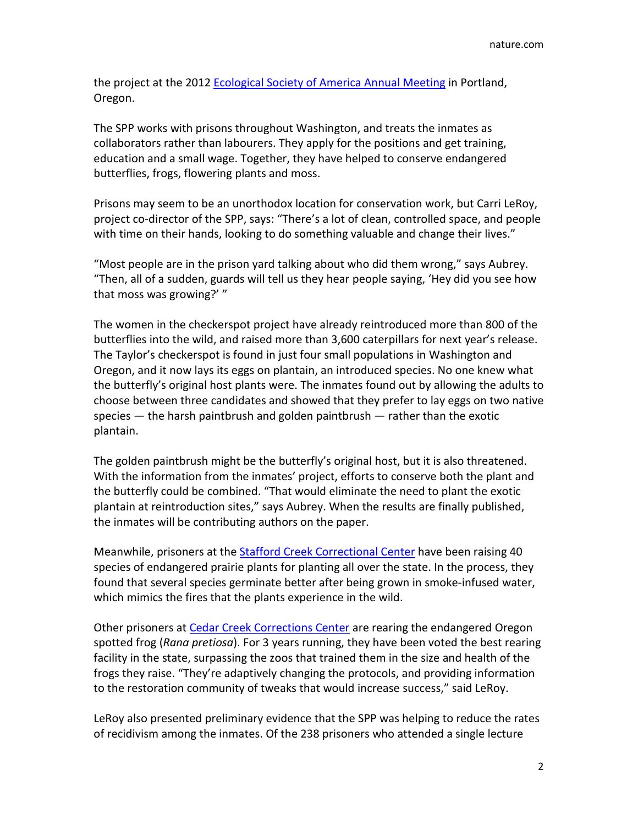the project at the 2012 [Ecological Society of America Annual Meeting](http://www.esa.org/portland/) in Portland, Oregon.

The SPP works with prisons throughout Washington, and treats the inmates as collaborators rather than labourers. They apply for the positions and get training, education and a small wage. Together, they have helped to conserve endangered butterflies, frogs, flowering plants and moss.

Prisons may seem to be an unorthodox location for conservation work, but Carri LeRoy, project co-director of the SPP, says: "There's a lot of clean, controlled space, and people with time on their hands, looking to do something valuable and change their lives."

"Most people are in the prison yard talking about who did them wrong," says Aubrey. "Then, all of a sudden, guards will tell us they hear people saying, 'Hey did you see how that moss was growing?' "

The women in the checkerspot project have already reintroduced more than 800 of the butterflies into the wild, and raised more than 3,600 caterpillars for next year's release. The Taylor's checkerspot is found in just four small populations in Washington and Oregon, and it now lays its eggs on plantain, an introduced species. No one knew what the butterfly's original host plants were. The inmates found out by allowing the adults to choose between three candidates and showed that they prefer to lay eggs on two native species — the harsh paintbrush and golden paintbrush — rather than the exotic plantain.

The golden paintbrush might be the butterfly's original host, but it is also threatened. With the information from the inmates' project, efforts to conserve both the plant and the butterfly could be combined. "That would eliminate the need to plant the exotic plantain at reintroduction sites," says Aubrey. When the results are finally published, the inmates will be contributing authors on the paper.

Meanwhile, prisoners at the [Stafford Creek Correctional Center](http://www.doc.wa.gov/facilities/prison/sccc/default.asp) have been raising 40 species of endangered prairie plants for planting all over the state. In the process, they found that several species germinate better after being grown in smoke-infused water, which mimics the fires that the plants experience in the wild.

Other prisoners a[t Cedar Creek Corrections Center](http://www.doc.wa.gov/facilities/prison/cccc/) are rearing the endangered Oregon spotted frog (*Rana pretiosa*). For 3 years running, they have been voted the best rearing facility in the state, surpassing the zoos that trained them in the size and health of the frogs they raise. "They're adaptively changing the protocols, and providing information to the restoration community of tweaks that would increase success," said LeRoy.

LeRoy also presented preliminary evidence that the SPP was helping to reduce the rates of recidivism among the inmates. Of the 238 prisoners who attended a single lecture